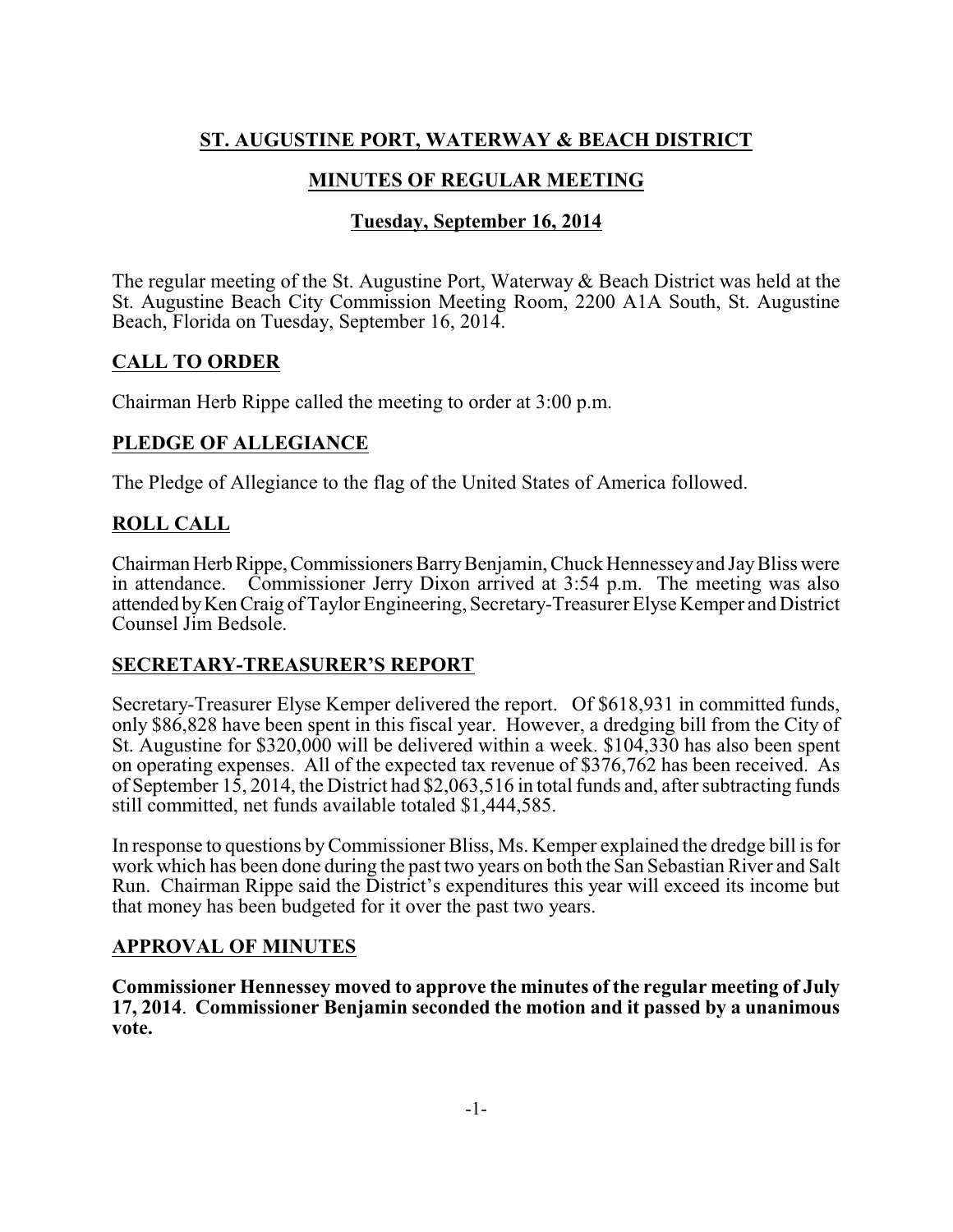# **ST. AUGUSTINE PORT, WATERWAY & BEACH DISTRICT**

## **MINUTES OF REGULAR MEETING**

## **Tuesday, September 16, 2014**

The regular meeting of the St. Augustine Port, Waterway & Beach District was held at the St. Augustine Beach City Commission Meeting Room, 2200 A1A South, St. Augustine Beach, Florida on Tuesday, September 16, 2014.

## **CALL TO ORDER**

Chairman Herb Rippe called the meeting to order at 3:00 p.m.

## **PLEDGE OF ALLEGIANCE**

The Pledge of Allegiance to the flag of the United States of America followed.

## **ROLL CALL**

ChairmanHerbRippe,Commissioners BarryBenjamin, Chuck Hennesseyand JayBliss were in attendance. Commissioner Jerry Dixon arrived at 3:54 p.m. The meeting was also attended byKenCraig of Taylor Engineering, Secretary-Treasurer Elyse Kemper and District Counsel Jim Bedsole.

### **SECRETARY-TREASURER'S REPORT**

Secretary-Treasurer Elyse Kemper delivered the report. Of \$618,931 in committed funds, only \$86,828 have been spent in this fiscal year. However, a dredging bill from the City of St. Augustine for \$320,000 will be delivered within a week. \$104,330 has also been spent on operating expenses. All of the expected tax revenue of \$376,762 has been received. As of September 15, 2014, the District had \$2,063,516 in total funds and, after subtracting funds still committed, net funds available totaled \$1,444,585.

In response to questions byCommissioner Bliss, Ms. Kemper explained the dredge bill is for work which has been done during the past two years on both the San Sebastian River and Salt Run. Chairman Rippe said the District's expenditures this year will exceed its income but that money has been budgeted for it over the past two years.

## **APPROVAL OF MINUTES**

**Commissioner Hennessey moved to approve the minutes of the regular meeting of July 17, 2014**. **Commissioner Benjamin seconded the motion and it passed by a unanimous vote.**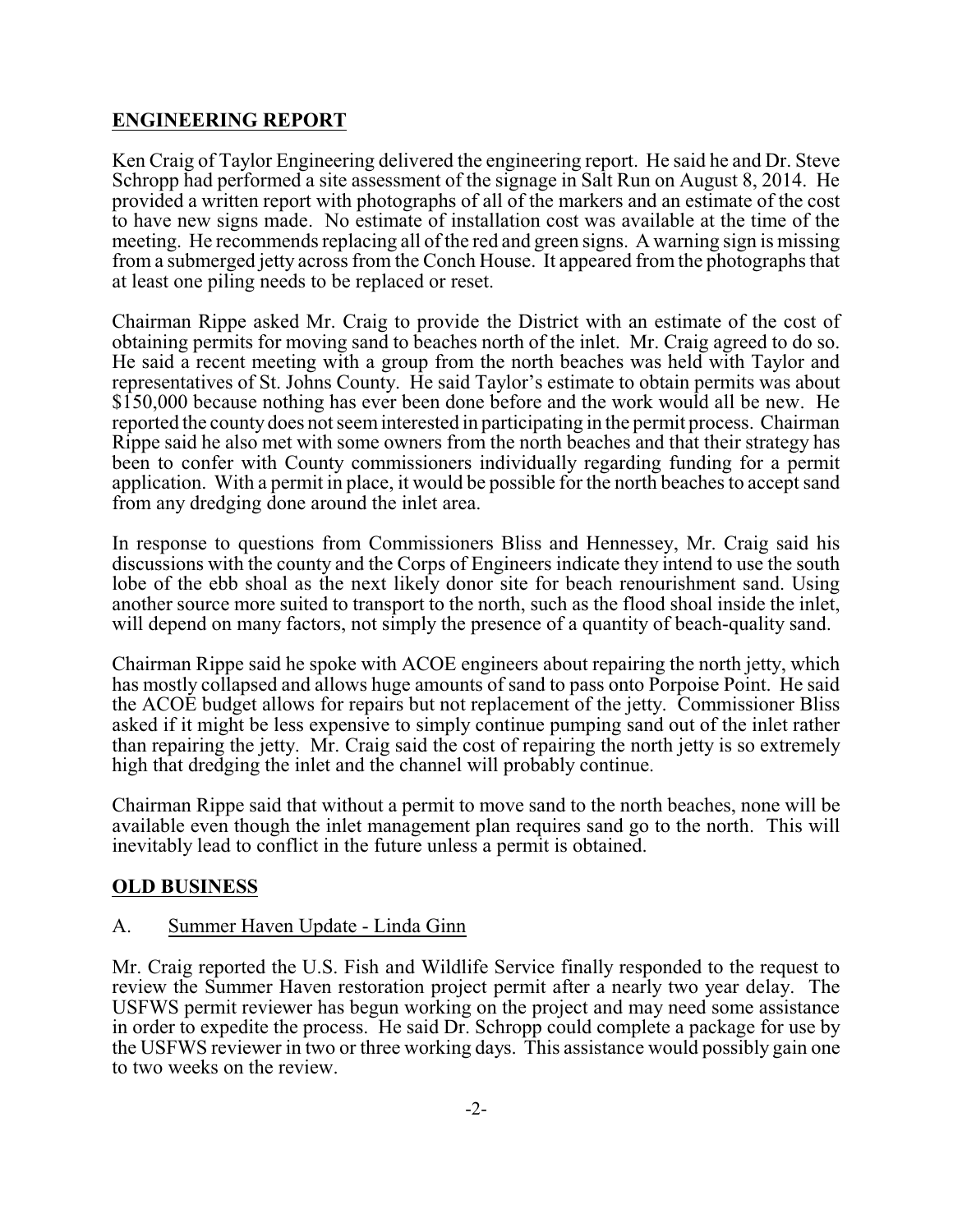## **ENGINEERING REPORT**

Ken Craig of Taylor Engineering delivered the engineering report. He said he and Dr. Steve Schropp had performed a site assessment of the signage in Salt Run on August 8, 2014. He provided a written report with photographs of all of the markers and an estimate of the cost to have new signs made. No estimate of installation cost was available at the time of the meeting. He recommends replacing all of the red and green signs. A warning sign is missing from a submerged jetty across from the Conch House. It appeared from the photographs that at least one piling needs to be replaced or reset.

Chairman Rippe asked Mr. Craig to provide the District with an estimate of the cost of obtaining permits for moving sand to beaches north of the inlet. Mr. Craig agreed to do so. He said a recent meeting with a group from the north beaches was held with Taylor and representatives of St. Johns County. He said Taylor's estimate to obtain permits was about \$150,000 because nothing has ever been done before and the work would all be new. He reported the county does not seeminterested in participating in the permit process. Chairman Rippe said he also met with some owners from the north beaches and that their strategy has been to confer with County commissioners individually regarding funding for a permit application. With a permit in place, it would be possible for the north beaches to accept sand from any dredging done around the inlet area.

In response to questions from Commissioners Bliss and Hennessey, Mr. Craig said his discussions with the county and the Corps of Engineers indicate they intend to use the south lobe of the ebb shoal as the next likely donor site for beach renourishment sand. Using another source more suited to transport to the north, such as the flood shoal inside the inlet, will depend on many factors, not simply the presence of a quantity of beach-quality sand.

Chairman Rippe said he spoke with ACOE engineers about repairing the north jetty, which has mostly collapsed and allows huge amounts of sand to pass onto Porpoise Point. He said the ACOE budget allows for repairs but not replacement of the jetty. Commissioner Bliss asked if it might be less expensive to simply continue pumping sand out of the inlet rather than repairing the jetty. Mr. Craig said the cost of repairing the north jetty is so extremely high that dredging the inlet and the channel will probably continue.

Chairman Rippe said that without a permit to move sand to the north beaches, none will be available even though the inlet management plan requires sand go to the north. This will inevitably lead to conflict in the future unless a permit is obtained.

## **OLD BUSINESS**

### A. Summer Haven Update - Linda Ginn

Mr. Craig reported the U.S. Fish and Wildlife Service finally responded to the request to review the Summer Haven restoration project permit after a nearly two year delay. The USFWS permit reviewer has begun working on the project and may need some assistance in order to expedite the process. He said Dr. Schropp could complete a package for use by the USFWS reviewer in two or three working days. This assistance would possibly gain one to two weeks on the review.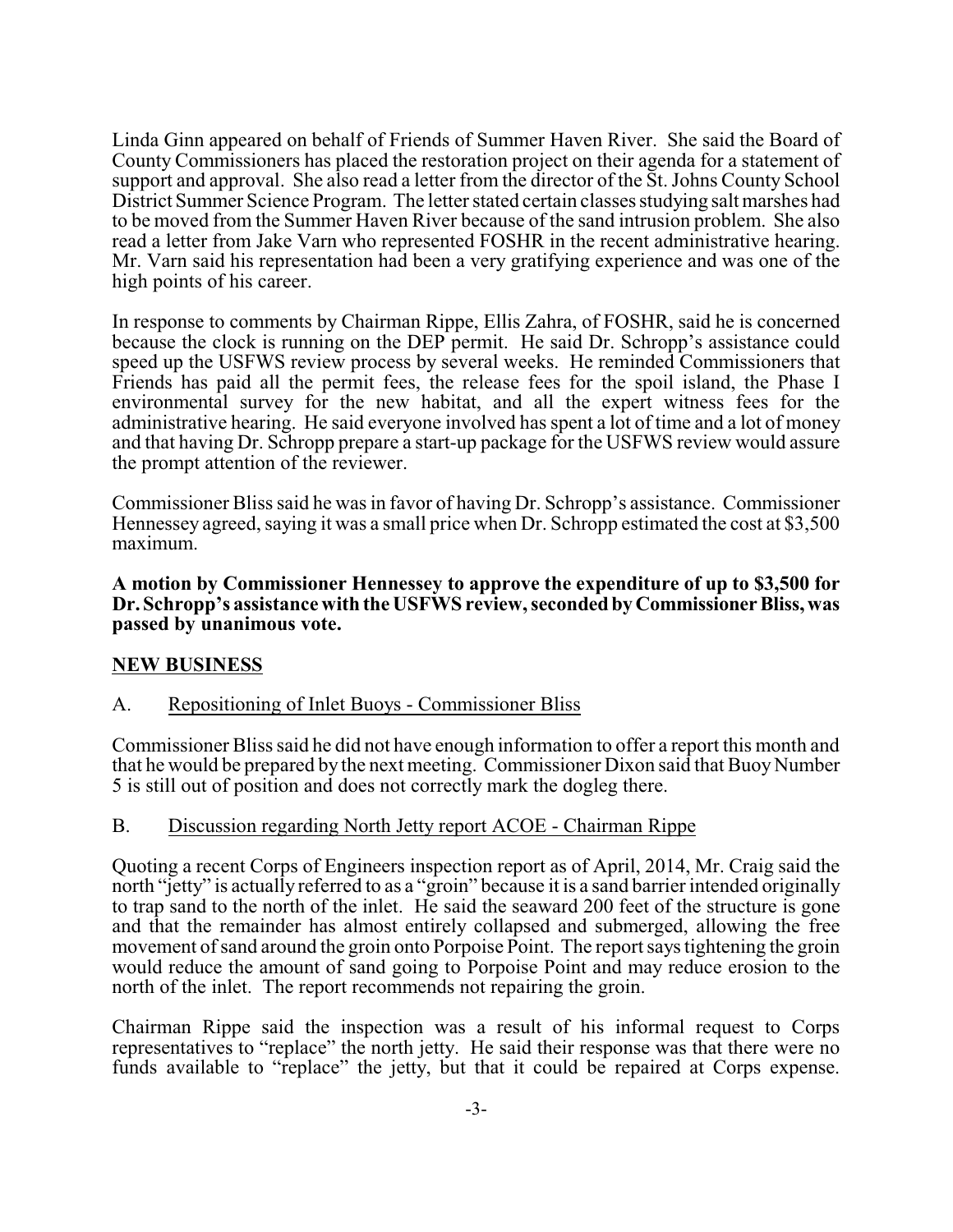Linda Ginn appeared on behalf of Friends of Summer Haven River. She said the Board of County Commissioners has placed the restoration project on their agenda for a statement of support and approval. She also read a letter from the director of the St. Johns County School District Summer Science Program. The letter stated certain classes studying salt marshes had to be moved from the Summer Haven River because of the sand intrusion problem. She also read a letter from Jake Varn who represented FOSHR in the recent administrative hearing. Mr. Varn said his representation had been a very gratifying experience and was one of the high points of his career.

In response to comments by Chairman Rippe, Ellis Zahra, of FOSHR, said he is concerned because the clock is running on the DEP permit. He said Dr. Schropp's assistance could speed up the USFWS review process by several weeks. He reminded Commissioners that Friends has paid all the permit fees, the release fees for the spoil island, the Phase I environmental survey for the new habitat, and all the expert witness fees for the administrative hearing. He said everyone involved has spent a lot of time and a lot of money and that having Dr. Schropp prepare a start-up package for the USFWS review would assure the prompt attention of the reviewer.

Commissioner Bliss said he was in favor of having Dr. Schropp's assistance. Commissioner Hennessey agreed, saying it was a small price when Dr. Schropp estimated the cost at \$3,500 maximum.

**A motion by Commissioner Hennessey to approve the expenditure of up to \$3,500 for** Dr. Schropp's assistance with the USFWS review, seconded by Commissioner Bliss, was **passed by unanimous vote.**

### **NEW BUSINESS**

### A. Repositioning of Inlet Buoys - Commissioner Bliss

Commissioner Bliss said he did not have enough information to offer a report this month and that he would be prepared by the next meeting. Commissioner Dixon said that Buoy Number 5 is still out of position and does not correctly mark the dogleg there.

#### B. Discussion regarding North Jetty report ACOE - Chairman Rippe

Quoting a recent Corps of Engineers inspection report as of April, 2014, Mr. Craig said the north "jetty" is actually referred to as a "groin" because it is a sand barrier intended originally to trap sand to the north of the inlet. He said the seaward 200 feet of the structure is gone and that the remainder has almost entirely collapsed and submerged, allowing the free movement ofsand around the groin onto Porpoise Point. The report says tightening the groin would reduce the amount of sand going to Porpoise Point and may reduce erosion to the north of the inlet. The report recommends not repairing the groin.

Chairman Rippe said the inspection was a result of his informal request to Corps representatives to "replace" the north jetty. He said their response was that there were no funds available to "replace" the jetty, but that it could be repaired at Corps expense.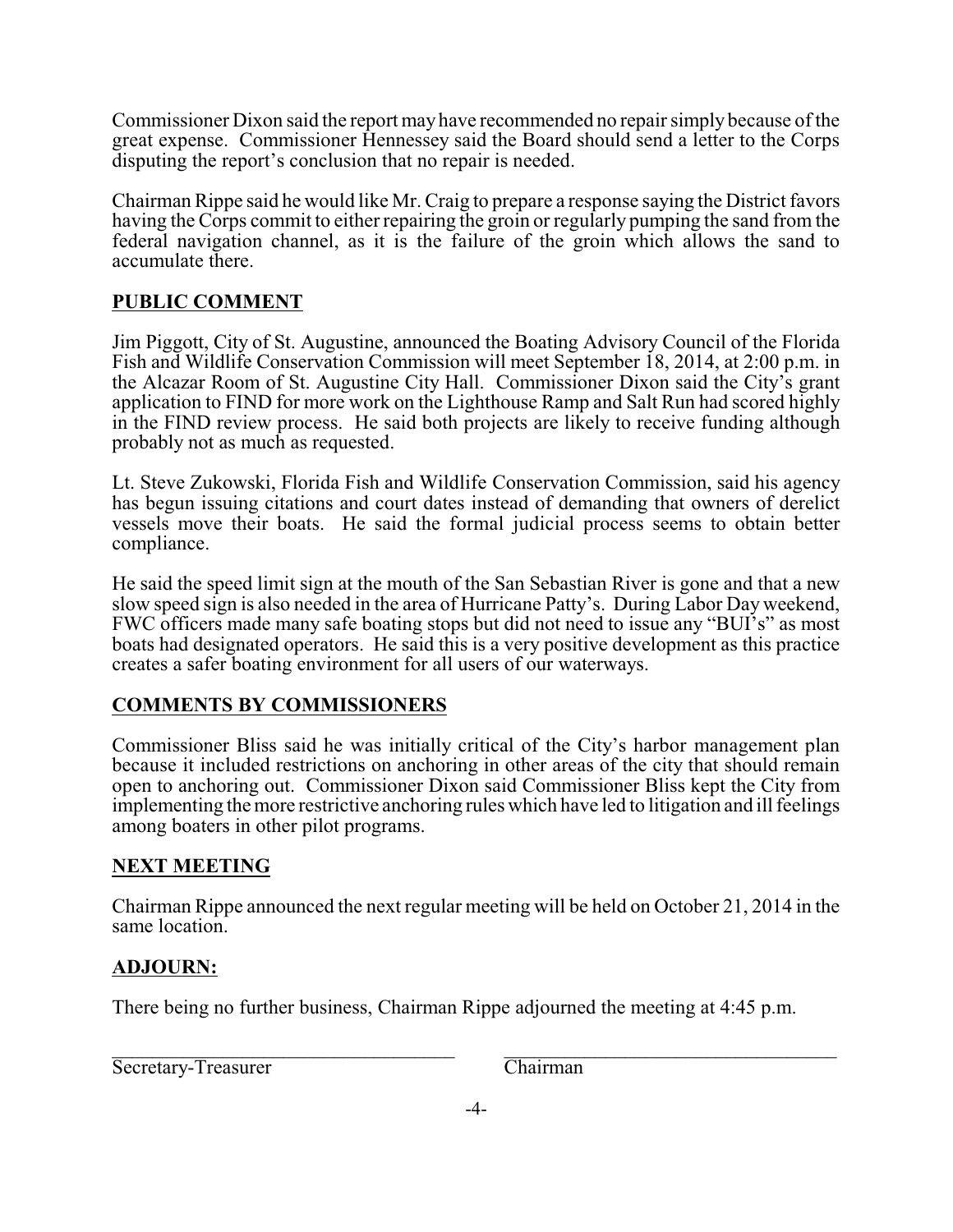Commissioner Dixon said the report may have recommended no repair simply because of the great expense. Commissioner Hennessey said the Board should send a letter to the Corps disputing the report's conclusion that no repair is needed.

Chairman Rippe said he would like Mr. Craig to prepare a response saying the District favors having the Corps commit to either repairing the groin or regularly pumping the sand from the federal navigation channel, as it is the failure of the groin which allows the sand to accumulate there.

### **PUBLIC COMMENT**

Jim Piggott, City of St. Augustine, announced the Boating Advisory Council of the Florida Fish and Wildlife Conservation Commission will meet September 18, 2014, at 2:00 p.m. in the Alcazar Room of St. Augustine City Hall. Commissioner Dixon said the City's grant application to FIND for more work on the Lighthouse Ramp and Salt Run had scored highly in the FIND review process. He said both projects are likely to receive funding although probably not as much as requested.

Lt. Steve Zukowski, Florida Fish and Wildlife Conservation Commission, said his agency has begun issuing citations and court dates instead of demanding that owners of derelict vessels move their boats. He said the formal judicial process seems to obtain better compliance.

He said the speed limit sign at the mouth of the San Sebastian River is gone and that a new slow speed sign is also needed in the area of Hurricane Patty's. During Labor Day weekend, FWC officers made many safe boating stops but did not need to issue any "BUI's" as most boats had designated operators. He said this is a very positive development as this practice creates a safer boating environment for all users of our waterways.

### **COMMENTS BY COMMISSIONERS**

Commissioner Bliss said he was initially critical of the City's harbor management plan because it included restrictions on anchoring in other areas of the city that should remain open to anchoring out. Commissioner Dixon said Commissioner Bliss kept the City from implementing the more restrictive anchoring rules which have led to litigation and ill feelings among boaters in other pilot programs.

### **NEXT MEETING**

Chairman Rippe announced the next regular meeting will be held on October 21, 2014 in the same location.

### **ADJOURN:**

There being no further business, Chairman Rippe adjourned the meeting at 4:45 p.m.

 $\mathcal{L}_\text{max} = \mathcal{L}_\text{max} = \mathcal{L}_\text{max} = \mathcal{L}_\text{max} = \mathcal{L}_\text{max} = \mathcal{L}_\text{max} = \mathcal{L}_\text{max} = \mathcal{L}_\text{max} = \mathcal{L}_\text{max} = \mathcal{L}_\text{max} = \mathcal{L}_\text{max} = \mathcal{L}_\text{max} = \mathcal{L}_\text{max} = \mathcal{L}_\text{max} = \mathcal{L}_\text{max} = \mathcal{L}_\text{max} = \mathcal{L}_\text{max} = \mathcal{L}_\text{max} = \mathcal{$ Secretary-Treasurer Chairman